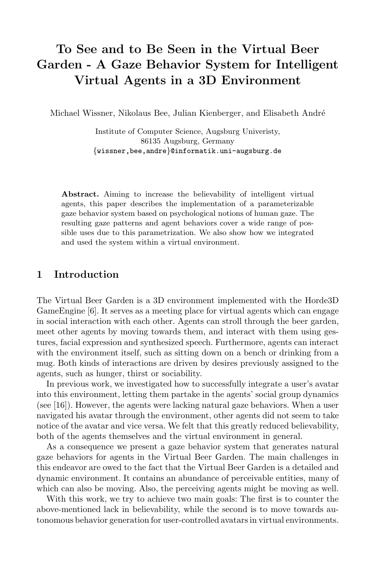# **To See and to Be Seen in the Virtual Beer Garden - A Gaze Behavior System for Intelligent Virtual Agents in a 3D Environment**

Michael Wissner, Nikolaus Bee, Julian Kienberger, and Elisabeth André

Institute of Computer Science, Augsburg Univeristy, 86135 Augsburg, Germany *{*wissner,bee,andre*}*@informatik.uni-augsburg.de

**Abstract.** Aiming to increase the believability of intelligent virtual agents, this paper describes the implementation of a parameterizable gaze behavior system based on psychological notions of human gaze. The resulting gaze patterns and agent behaviors cover a wide range of possible uses due to this parametrization. We also show how we integrated and used the system within a virtual environment.

# **1 Introduction**

The Virtual Beer Garden is a 3D environment implemented with the Horde3D GameEngine [6]. It serves as a meeting place for virtual agents which can engage in social interaction with each other. Agents can stroll through the beer garden, meet other agents by moving towards them, and interact with them using gestures, facial expression and synthesized speech. Furthermore, agents can interact with the environment itself, such as sitting down on a bench or drinking from a mug. Both kinds of interactions are driven by desires previously assigned to the agents, such as hunger, thirst or sociability.

In previous work, we investigated how to successfully integrate a user's avatar into this environment, letting them partake in the agents' social group dynamics (see [16]). However, the agents were lacking natural gaze behaviors. When a user navigated his avatar through the environment, other agents did not seem to take notice of the avatar and vice versa. We felt that this greatly reduced believability, both of the agents themselves and the virtual environment in general.

As a consequence we present a gaze behavior system that generates natural gaze behaviors for agents in the Virtual Beer Garden. The main challenges in this endeavor are owed to the fact that the Virtual Beer Garden is a detailed and dynamic environment. It contains an abundance of perceivable entities, many of which can also be moving. Also, the perceiving agents might be moving as well.

With this work, we try to achieve two main goals: The first is to counter the above-mentioned lack in believability, while the second is to move towards autonomous behavior generation for user-controlled avatarsin virtual environments.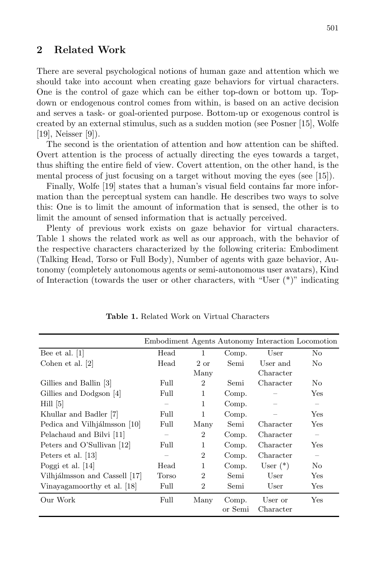# <span id="page-1-0"></span>**2 Related Work**

There are several psychological notions of human gaze and attention which we should take into account when creating gaze behaviors for virtual characters. One is the control of gaze which can be either top-d[own](#page-7-0) or bottom up. Top[do](#page-7-1)wn or endogenous control comes from within, is based on an active decision and serves a task- or goal-oriented purpose. Bottom-up or exogenous control is created by an external stimulus, such as a sudden motion (see Posner [15], Wolfe [19], Neisser [9]).

The second is the orientation of attention and how attention can be shifted. Overt attention is the process of actually directing the eyes towards a target, thus shifting the entire field of view. Covert attention, on the other hand, is the mental process of just focusing on a target without moving the eyes (see [15]).

Finally, Wolfe [19] states that a human's visual field contains far more information than the perceptual system can handle. He describes two ways to solve this: One is to limit the amount of information that is sensed, the other is to limit the amount of sensed information that is actually perceived.

Plenty of previous work exists on gaze behavior for virtual characters. Table 1 shows the related work as well as our approach, with the behavior of the respective characters characterized by the following criteria: Embodiment (Talking Head, Torso or Full Body), Number of agents with gaze behavior, Autonomy (completely autonomous agents or semi-autonomous user avatars), Kind of Interaction (towards the user or other characters, with "User (\*)" indicating

|                               | Embodiment Agents Autonomy Interaction Locomotion |                |         |            |                   |
|-------------------------------|---------------------------------------------------|----------------|---------|------------|-------------------|
| Bee et al. $[1]$              | Head                                              | $\mathbf{1}$   | Comp.   | User       | No                |
| Cohen et al. [2]              | Head                                              | 2 or           | Semi    | User and   | No                |
|                               |                                                   | Many           |         | Character  |                   |
| Gillies and Ballin [3]        | Full                                              | $\overline{2}$ | Semi    | Character  | No                |
| Gillies and Dodgson [4]       | Full                                              | 1              | Comp.   |            | Yes               |
| $Hill$ [5]                    |                                                   | 1              | Comp.   |            | -                 |
| Khullar and Badler [7]        | Full                                              | $\mathbf{1}$   | Comp.   |            | Yes               |
| Pedica and Vilhjálmsson [10]  | Full                                              | Many           | Semi    | Character  | Yes               |
| Pelachaud and Bilvi [11]      |                                                   | $\overline{2}$ | Comp.   | Character  | $\qquad \qquad -$ |
| Peters and O'Sullivan [12]    | Full                                              | 1              | Comp.   | Character  | Yes               |
| Peters et al. [13]            |                                                   | $\overline{2}$ | Comp.   | Character  | $\qquad \qquad -$ |
| Poggi et al. [14]             | Head                                              | 1              | Comp.   | User $(*)$ | No                |
| Vilhjálmsson and Cassell [17] | Torso                                             | $\overline{2}$ | Semi    | User       | Yes               |
| Vinayagamoorthy et al. [18]   | Full                                              | $\overline{2}$ | Semi    | User       | Yes               |
| Our Work                      | Full                                              | Many           | Comp.   | User or    | Yes               |
|                               |                                                   |                | or Semi | Character  |                   |

**Table 1.** Related Work on Virtual Characters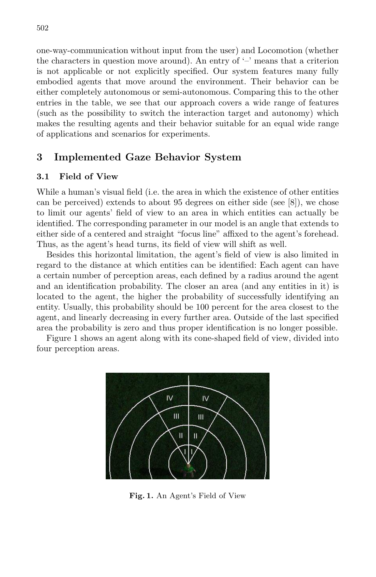one-way-communication without input from the user) and Locomotion (whether the characters in question move around). An entry of  $-$  means that a criterion is not applicable or not explicitly specified. Our system features many fully embodied agents that move around the environment. Their behavior can be either completely autonomous or semi-autonomous. Comparing this to the other entries in the table, we see that our approach covers a wide range of features (such as the possibility to switch the interaction target and autonomy) which makes the resulting agents and their behavior [su](#page-7-6)itable for an equal wide range of applications and scenarios for experiments.

### **3 Implemented Gaze Behavior System**

#### **3.1 Field of View**

While a human's visual field (i.e. the area in which the existence of other entities can be perceived) extends to about 95 degrees on either side (see [8]), we chose to limit our agents' field of view to an area in which entities can actually be identified. The corresponding parameter in our model is an angle that extends to either side of a centered and straight "focus line" affixed to the agent's forehead. Thus, as the agent's head turns, its field of view will shift as well.

Besides this horizontal limitation, the agent's field of view is also limited in regard to the distance at which entities can be identified: Each agent can have a certain number of perception areas, each defined by a radius around the agent and an identification probability. The closer an area (and any entities in it) is located to the agent, the higher the probability of successfully identifying an entity. Usually, this probability should be 100 percent for the area closest to the agent, and linearly decreasing in every further area. Outside of the last specified area the probability is zero and thus proper identification is no longer possible.

Figure 1 shows an agent along with its cone-shaped field of view, divided into four perception areas.



**Fig. 1.** An Agent's Field of View

502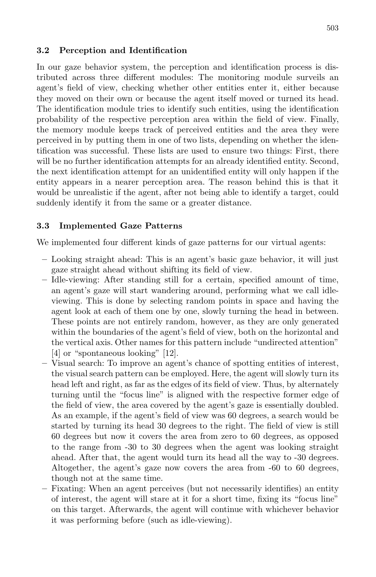#### **3.2 Perception and Identification**

In our gaze behavior system, the perception and identification process is distributed across three different modules: The monitoring module surveils an agent's field of view, checking whether other entities enter it, either because they moved on their own or because the agent itself moved or turned its head. The identification module tries to identify such entities, using the identification probability of the respective perception area within the field of view. Finally, the memory module keeps track of perceived entities and the area they were perceived in by putting them in one of two lists, depending on whether the identification was successful. These lists are used to ensure two things: First, there will be no further identification attempts for an already identified entity. Second, the next identification attempt for an unidentified entity will only happen if the entity appears in a nearer perception area. The reason behind this is that it would be unrealistic if the agent, after not being able to identify a target, could suddenly identify it from the same or a greater distance.

#### **3.3 Implemented Gaze Patterns**

We implemented four different kinds of gaze patterns for our virtual agents:

- **–** Looking straight ahead: This is an agent's basic gaze behavior, it will just gaze straig[ht](#page-7-3) ahead without shifting its field of view.
- **–** Idle-viewing: After standing still for a certain, specified amount of time, an agent's gaze will start wandering around, performing what we call idleviewing. This is done by selecting random points in space and having the agent look at each of them one by one, slowly turning the head in between. These points are not entirely random, however, as they are only generated within the boundaries of the agent's field of view, both on the horizontal and the vertical axis. Other names for this pattern include "undirected attention" [4] or "spontaneous looking" [12].
- **–** Visual search: To improve an agent's chance of spotting entities of interest, the visual search pattern can be employed. Here, the agent will slowly turn its head left and right, as far as the edges of its field of view. Thus, by alternately turning until the "focus line" is aligned with the respective former edge of the field of view, the area covered by the agent's gaze is essentially doubled. As an example, if the agent's field of view was 60 degrees, a search would be started by turning its head 30 degrees to the right. The field of view is still 60 degrees but now it covers the area from zero to 60 degrees, as opposed to the range from -30 to 30 degrees when the agent was looking straight ahead. After that, the agent would turn its head all the way to -30 degrees. Altogether, the agent's gaze now covers the area from -60 to 60 degrees, though not at the same time.
- **–** Fixating: When an agent perceives (but not necessarily identifies) an entity of interest, the agent will stare at it for a short time, fixing its "focus line" on this target. Afterwards, the agent will continue with whichever behavior it was performing before (such as idle-viewing).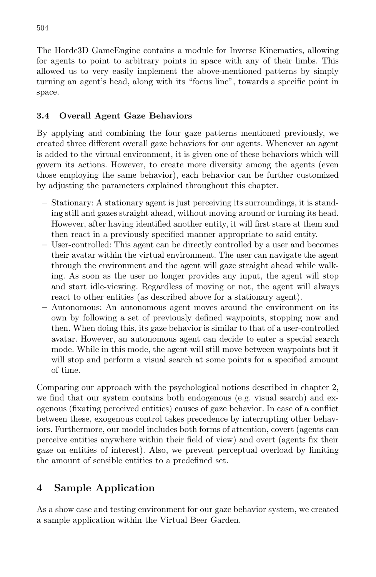The Horde3D GameEngine contains a module for Inverse Kinematics, allowing for agents to point to arbitrary points in space with any of their limbs. This allowed us to very easily implement the above-mentioned patterns by simply turning an agent's head, along with its "focus line", towards a specific point in space.

#### **3.4 Overall Agent Gaze Behaviors**

By applying and combining the four gaze patterns mentioned previously, we created three different overall gaze behaviors for our agents. Whenever an agent is added to the virtual environment, it is given one of these behaviors which will govern its actions. However, to create more diversity among the agents (even those employing the same behavior), each behavior can be further customized by adjusting the parameters explained throughout this chapter.

- **–** Stationary: A stationary agent is just perceiving its surroundings, it is standing still and gazes straight ahead, without moving around or turning its head. However, after having identified another entity, it will first stare at them and then react in a previously specified manner appropriate to said entity.
- **–** User-controlled: This agent can be directly controlled by a user and becomes their avatar within the virtual environment. The user can navigate the agent through the environment and the agent will gaze straight ahead while walking. As soon as the user no longer provides any input, the agent will stop and start idle-viewing. Regardless of moving or not, the agent will always react to other entities (as described above for a stationary agent).
- **–** Autonomous: An autonomous agent moves around th[e](#page-1-0) environment on its own by following a set of previously defined waypoints, stopping now and then. When doing this, its gaze behavior is similar to that of a user-controlled avatar. However, an autonomous agent can decide to enter a special search mode. While in this mode, the agent will still move between waypoints but it will stop and perform a visual search at some points for a specified amount of time.

Comparing our approach with the psychological notions described in chapter 2, we find that our system contains both endogenous (e.g. visual search) and exogenous (fixating perceived entities) causes of gaze behavior. In case of a conflict between these, exogenous control takes precedence by interrupting other behaviors. Furthermore, our model includes both forms of attention, covert (agents can perceive entities anywhere within their field of view) and overt (agents fix their gaze on entities of interest). Also, we prevent perceptual overload by limiting the amount of sensible entities to a predefined set.

#### **4 Sample Application**

As a show case and testing environment for our gaze behavior system, we created a sample application within the Virtual Beer Garden.

504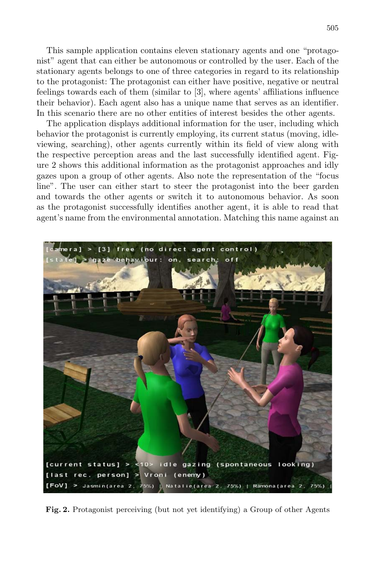This sample application contains eleven stationary agents and one "protagonist" agent that can either be autonomous or controlled by the user. Each of the stationary agents belongs to one of three categories in regard to its relationship to the protagonist: The protagonist can either have positive, negative or neutral feelings towards each of them (similar to [3], where agents' affiliations influence their behavior). Each agent also has a unique name that serves as an identifier. In this scenario there are no other entities of interest besides the other agents.

The application displays additional information for the user, including which behavior the protagonist is currently employing, its current status (moving, idleviewing, searching), other agents currently within its field of view along with the respective perception areas and the last successfully identified agent. Figure 2 shows this additional information as the protagonist approaches and idly gazes upon a group of other agents. Also note the representation of the "focus line". The user can either start to steer the protagonist into the beer garden and towards the other agents or switch it to autonomous behavior. As soon as the protagonist successfully identifies another agent, it is able to read that agent's name from the environmental annotation. Matching this name against an



**Fig. 2.** Protagonist perceiving (but not yet identifying) <sup>a</sup> Group of other Agents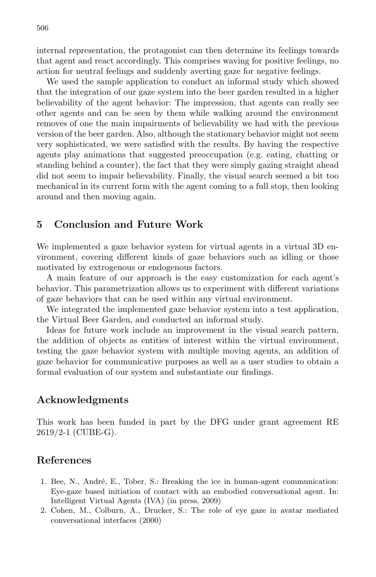internal representation, the protagonist can then determine its feelings towards that agent and react accordingly. This comprises waving for positive feelings, no action for neutral feelings and suddenly averting gaze for negative feelings.

We used the sample application to conduct an informal study which showed that the integration of our gaze system into the beer garden resulted in a higher believability of the agent behavior: The impression, that agents can really see other agents and can be seen by them while walking around the environment removes of one the main impairments of believability we had with the previous version of the beer garden. Also, although the stationary behavior might not seem very sophisticated, we were satisfied with the results. By having the respective agents play animations that suggested preoccupation (e.g. eating, chatting or standing behind a counter), the fact that they were simply gazing straight ahead did not seem to impair believability. Finally, the visual search seemed a bit too mechanical in its current form with the agent coming to a full stop, then looking around and then moving again.

## **5 Conclusion and Future Work**

We implemented a gaze behavior system for virtual agents in a virtual 3D environment, covering different kinds of gaze behaviors such as idling or those motivated by extrogenous or endogenous factors.

A main feature of our approach is the easy customization for each agent's behavior. This parametrization allows us to experiment with different variations of gaze behaviors that can be used within any virtual environment.

We integrated the implemented gaze behavior system into a test application, the Virtual Beer Garden, and conducted an informal study.

Ideas for future work include an improvement in the visual search pattern, the addition of objects as entities of interest within the virtual environment, testing the gaze behavior system with multiple moving agents, an addition of gaze behavior for communicative purposes as well as a user studies to obtain a formal evaluation of our system and substantiate our findings.

#### **Acknowledgments**

This work has been funded in part by the DFG under grant agreement RE 2619/2-1 (CUBE-G).

# **References**

- 1. Bee, N., André, E., Tober, S.: Breaking the ice in human-agent communication: Eye-gaze based initiation of contact with an embodied conversational agent. In: Intelligent Virtual Agents (IVA) (in press, 2009)
- 2. Cohen, M., Colburn, A., Drucker, S.: The role of eye gaze in avatar mediated conversational interfaces (2000)